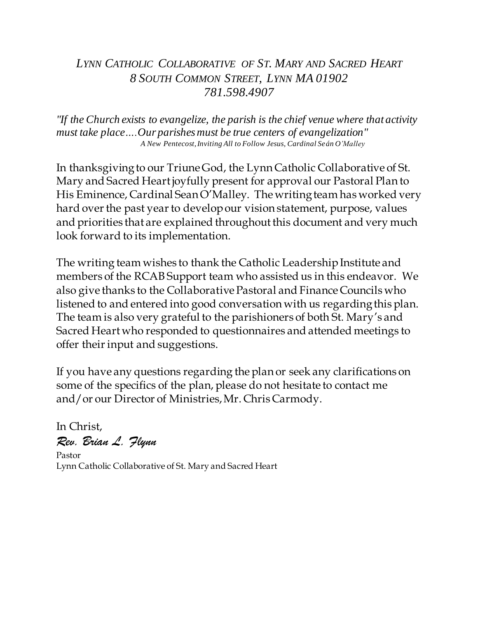# *LYNN CATHOLIC COLLABORATIVE OF ST. MARY AND SACRED HEART 8 SOUTH COMMON STREET, LYNN MA 01902 781.598.4907*

*"If the Church exists to evangelize, the parish is the chief venue where that activity must take place….Our parishes must be true centers of evangelization" A New Pentecost, Inviting All to Follow Jesus, Cardinal Seán O'Malley*

In thanksgiving to our Triune God, the Lynn Catholic Collaborative of St. Mary and Sacred Heart joyfully present for approval our Pastoral Plan to His Eminence, Cardinal Sean O'Malley. The writing team has worked very hard over the past year to develop our vision statement, purpose, values and priorities that are explained throughout this document and very much look forward to its implementation.

The writing team wishes to thank the Catholic Leadership Institute and members of the RCAB Support team who assisted us in this endeavor. We also give thanks to the Collaborative Pastoral and Finance Councils who listened to and entered into good conversation with us regarding this plan. The team is also very grateful to the parishioners of both St. Mary's and Sacred Heart who responded to questionnaires and attended meetings to offer their input and suggestions.

If you have any questions regarding the plan or seek any clarifications on some of the specifics of the plan, please do not hesitate to contact me and/or our Director of Ministries, Mr. Chris Carmody.

In Christ, *Rev. Brian L. Flynn* Pastor Lynn Catholic Collaborative of St. Mary and Sacred Heart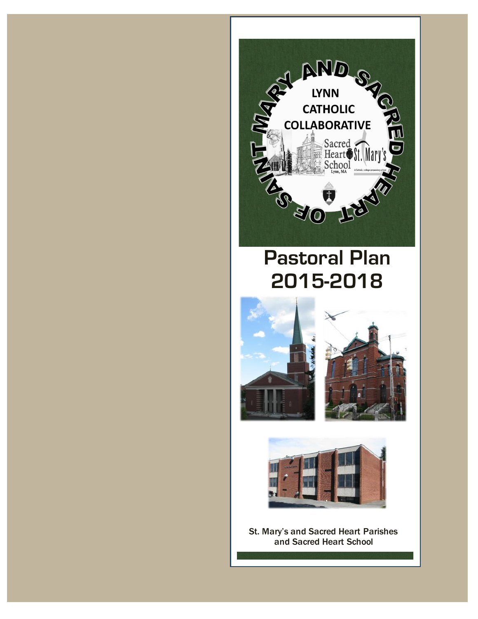



St. Mary's and Sacred Heart Parishes and Sacred Heart School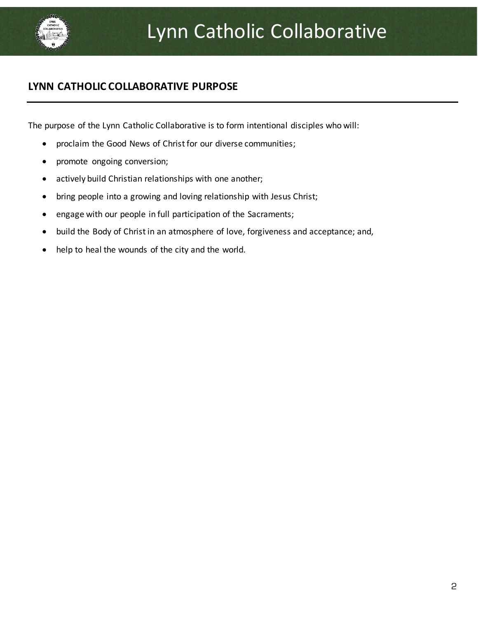

# **LYNN CATHOLIC COLLABORATIVE PURPOSE**

The purpose of the Lynn Catholic Collaborative is to form intentional disciples who will:

- proclaim the Good News of Christ for our diverse communities;
- promote ongoing conversion;
- actively build Christian relationships with one another;
- bring people into a growing and loving relationship with Jesus Christ;
- engage with our people in full participation of the Sacraments;
- build the Body of Christ in an atmosphere of love, forgiveness and acceptance; and,
- help to heal the wounds of the city and the world.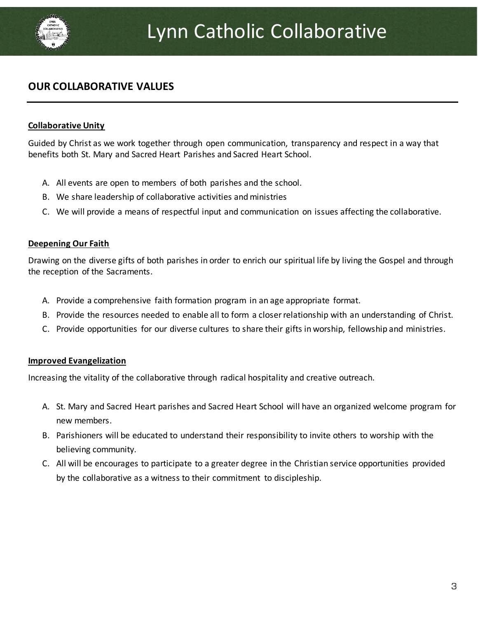

## **OUR COLLABORATIVE VALUES**

#### **Collaborative Unity**

Guided by Christ as we work together through open communication, transparency and respect in a way that benefits both St. Mary and Sacred Heart Parishes and Sacred Heart School.

- A. All events are open to members of both parishes and the school.
- B. We share leadership of collaborative activities and ministries
- C. We will provide a means of respectful input and communication on issues affecting the collaborative.

#### **Deepening Our Faith**

Drawing on the diverse gifts of both parishes in order to enrich our spiritual life by living the Gospel and through the reception of the Sacraments.

- A. Provide a comprehensive faith formation program in an age appropriate format.
- B. Provide the resources needed to enable all to form a closer relationship with an understanding of Christ.
- C. Provide opportunities for our diverse cultures to share their gifts in worship, fellowship and ministries.

#### **Improved Evangelization**

Increasing the vitality of the collaborative through radical hospitality and creative outreach.

- A. St. Mary and Sacred Heart parishes and Sacred Heart School will have an organized welcome program for new members.
- B. Parishioners will be educated to understand their responsibility to invite others to worship with the believing community.
- C. All will be encourages to participate to a greater degree in the Christian service opportunities provided by the collaborative as a witness to their commitment to discipleship.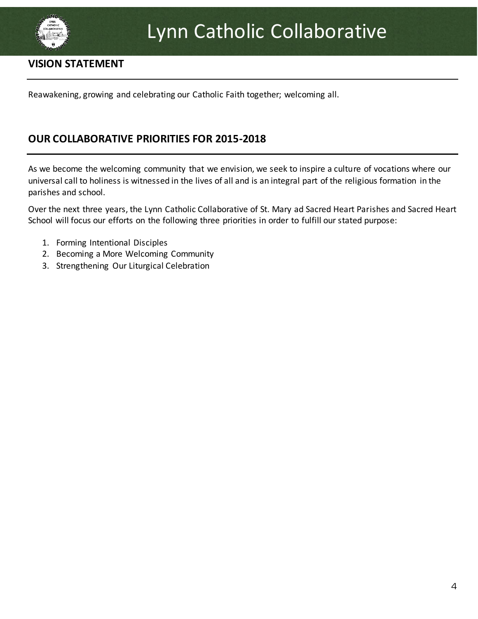

### **VISION STATEMENT**

Reawakening, growing and celebrating our Catholic Faith together; welcoming all.

### **OUR COLLABORATIVE PRIORITIES FOR 2015-2018**

As we become the welcoming community that we envision, we seek to inspire a culture of vocations where our universal call to holiness is witnessed in the lives of all and is an integral part of the religious formation in the parishes and school.

Over the next three years, the Lynn Catholic Collaborative of St. Mary ad Sacred Heart Parishes and Sacred Heart School will focus our efforts on the following three priorities in order to fulfill our stated purpose:

- 1. Forming Intentional Disciples
- 2. Becoming a More Welcoming Community
- 3. Strengthening Our Liturgical Celebration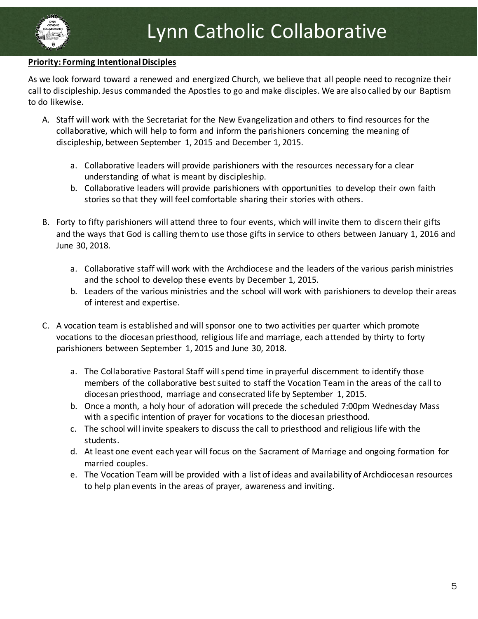#### **Priority: Forming Intentional Disciples**

As we look forward toward a renewed and energized Church, we believe that all people need to recognize their call to discipleship. Jesus commanded the Apostles to go and make disciples. We are also called by our Baptism to do likewise.

- A. Staff will work with the Secretariat for the New Evangelization and others to find resources for the collaborative, which will help to form and inform the parishioners concerning the meaning of discipleship, between September 1, 2015 and December 1, 2015.
	- a. Collaborative leaders will provide parishioners with the resources necessary for a clear understanding of what is meant by discipleship.
	- b. Collaborative leaders will provide parishioners with opportunities to develop their own faith stories so that they will feel comfortable sharing their stories with others.
- B. Forty to fifty parishioners will attend three to four events, which will invite them to discern their gifts and the ways that God is calling them to use those gifts in service to others between January 1, 2016 and June 30, 2018.
	- a. Collaborative staff will work with the Archdiocese and the leaders of the various parish ministries and the school to develop these events by December 1, 2015.
	- b. Leaders of the various ministries and the school will work with parishioners to develop their areas of interest and expertise.
- C. A vocation team is established and will sponsor one to two activities per quarter which promote vocations to the diocesan priesthood, religious life and marriage, each attended by thirty to forty parishioners between September 1, 2015 and June 30, 2018.
	- a. The Collaborative Pastoral Staff will spend time in prayerful discernment to identify those members of the collaborative best suited to staff the Vocation Team in the areas of the call to diocesan priesthood, marriage and consecrated life by September 1, 2015.
	- b. Once a month, a holy hour of adoration will precede the scheduled 7:00pm Wednesday Mass with a specific intention of prayer for vocations to the diocesan priesthood.
	- c. The school will invite speakers to discuss the call to priesthood and religious life with the students.
	- d. At least one event each year will focus on the Sacrament of Marriage and ongoing formation for married couples.
	- e. The Vocation Team will be provided with a list of ideas and availability of Archdiocesan resources to help plan events in the areas of prayer, awareness and inviting.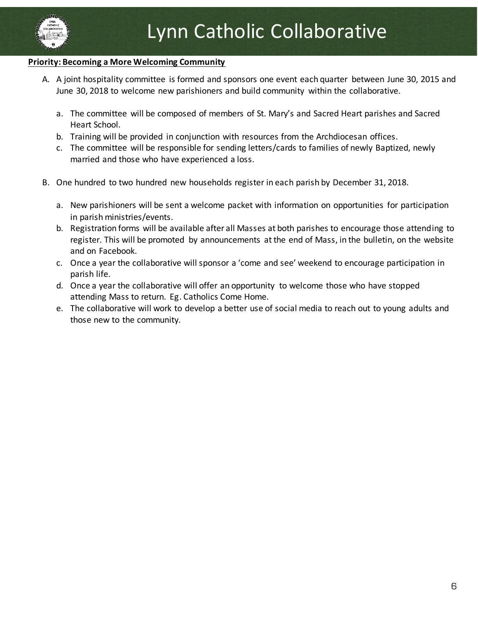

#### **Priority: Becoming a More Welcoming Community**

- A. A joint hospitality committee is formed and sponsors one event each quarter between June 30, 2015 and June 30, 2018 to welcome new parishioners and build community within the collaborative.
	- a. The committee will be composed of members of St. Mary's and Sacred Heart parishes and Sacred Heart School.
	- b. Training will be provided in conjunction with resources from the Archdiocesan offices.
	- c. The committee will be responsible for sending letters/cards to families of newly Baptized, newly married and those who have experienced a loss.
- B. One hundred to two hundred new households register in each parish by December 31, 2018.
	- a. New parishioners will be sent a welcome packet with information on opportunities for participation in parish ministries/events.
	- b. Registration forms will be available after all Masses at both parishes to encourage those attending to register. This will be promoted by announcements at the end of Mass, in the bulletin, on the website and on Facebook.
	- c. Once a year the collaborative will sponsor a 'come and see' weekend to encourage participation in parish life.
	- d. Once a year the collaborative will offer an opportunity to welcome those who have stopped attending Mass to return. Eg. Catholics Come Home.
	- e. The collaborative will work to develop a better use of social media to reach out to young adults and those new to the community.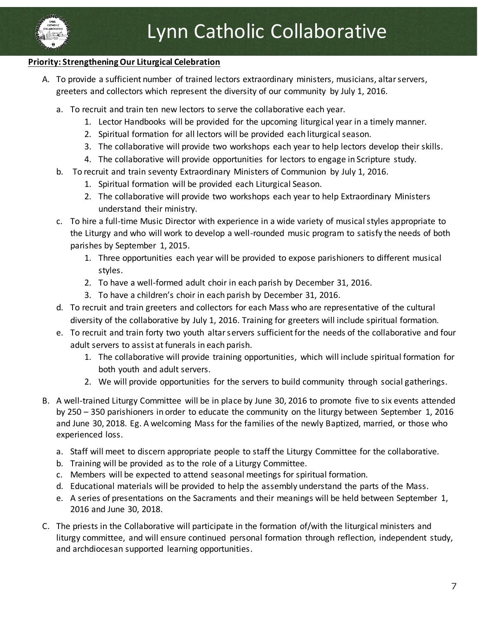

#### **Priority: Strengthening Our Liturgical Celebration**

- A. To provide a sufficient number of trained lectors extraordinary ministers, musicians, altar servers, greeters and collectors which represent the diversity of our community by July 1, 2016.
	- a. To recruit and train ten new lectors to serve the collaborative each year.
		- 1. Lector Handbooks will be provided for the upcoming liturgical year in a timely manner.
		- 2. Spiritual formation for all lectors will be provided each liturgical season.
		- 3. The collaborative will provide two workshops each year to help lectors develop their skills.
		- 4. The collaborative will provide opportunities for lectors to engage in Scripture study.
	- b. To recruit and train seventy Extraordinary Ministers of Communion by July 1, 2016.
		- 1. Spiritual formation will be provided each Liturgical Season.
		- 2. The collaborative will provide two workshops each year to help Extraordinary Ministers understand their ministry.
	- c. To hire a full-time Music Director with experience in a wide variety of musical styles appropriate to the Liturgy and who will work to develop a well-rounded music program to satisfy the needs of both parishes by September 1, 2015.
		- 1. Three opportunities each year will be provided to expose parishioners to different musical styles.
		- 2. To have a well-formed adult choir in each parish by December 31, 2016.
		- 3. To have a children's choir in each parish by December 31, 2016.
	- d. To recruit and train greeters and collectors for each Mass who are representative of the cultural diversity of the collaborative by July 1, 2016. Training for greeters will include spiritual formation.
	- e. To recruit and train forty two youth altar servers sufficient for the needs of the collaborative and four adult servers to assist at funerals in each parish.
		- 1. The collaborative will provide training opportunities, which will include spiritual formation for both youth and adult servers.
		- 2. We will provide opportunities for the servers to build community through social gatherings.
- B. A well-trained Liturgy Committee will be in place by June 30, 2016 to promote five to six events attended by 250 – 350 parishioners in order to educate the community on the liturgy between September 1, 2016 and June 30, 2018. Eg. A welcoming Mass for the families of the newly Baptized, married, or those who experienced loss.
	- a. Staff will meet to discern appropriate people to staff the Liturgy Committee for the collaborative.
	- b. Training will be provided as to the role of a Liturgy Committee.
	- c. Members will be expected to attend seasonal meetings for spiritual formation.
	- d. Educational materials will be provided to help the assembly understand the parts of the Mass.
	- e. A series of presentations on the Sacraments and their meanings will be held between September 1, 2016 and June 30, 2018.
- C. The priests in the Collaborative will participate in the formation of/with the liturgical ministers and liturgy committee, and will ensure continued personal formation through reflection, independent study, and archdiocesan supported learning opportunities.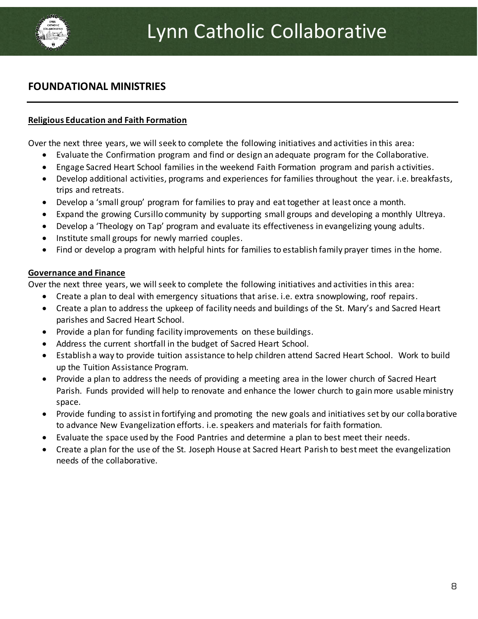

### **FOUNDATIONAL MINISTRIES**

#### **Religious Education and Faith Formation**

Over the next three years, we will seek to complete the following initiatives and activities in this area:

- Evaluate the Confirmation program and find or design an adequate program for the Collaborative.
- Engage Sacred Heart School families in the weekend Faith Formation program and parish activities.
- Develop additional activities, programs and experiences for families throughout the year. i.e. breakfasts, trips and retreats.
- Develop a 'small group' program for families to pray and eat together at least once a month.
- Expand the growing Cursillo community by supporting small groups and developing a monthly Ultreya.
- Develop a 'Theology on Tap' program and evaluate its effectiveness in evangelizing young adults.
- Institute small groups for newly married couples.
- Find or develop a program with helpful hints for families to establish family prayer times in the home.

#### **Governance and Finance**

Over the next three years, we will seek to complete the following initiatives and activities in this area:

- Create a plan to deal with emergency situations that arise. i.e. extra snowplowing, roof repairs.
- Create a plan to address the upkeep of facility needs and buildings of the St. Mary's and Sacred Heart parishes and Sacred Heart School.
- Provide a plan for funding facility improvements on these buildings.
- Address the current shortfall in the budget of Sacred Heart School.
- Establish a way to provide tuition assistance to help children attend Sacred Heart School. Work to build up the Tuition Assistance Program.
- Provide a plan to address the needs of providing a meeting area in the lower church of Sacred Heart Parish. Funds provided will help to renovate and enhance the lower church to gain more usable ministry space.
- Provide funding to assist in fortifying and promoting the new goals and initiatives set by our collaborative to advance New Evangelization efforts. i.e. speakers and materials for faith formation.
- Evaluate the space used by the Food Pantries and determine a plan to best meet their needs.
- Create a plan for the use of the St. Joseph House at Sacred Heart Parish to best meet the evangelization needs of the collaborative.